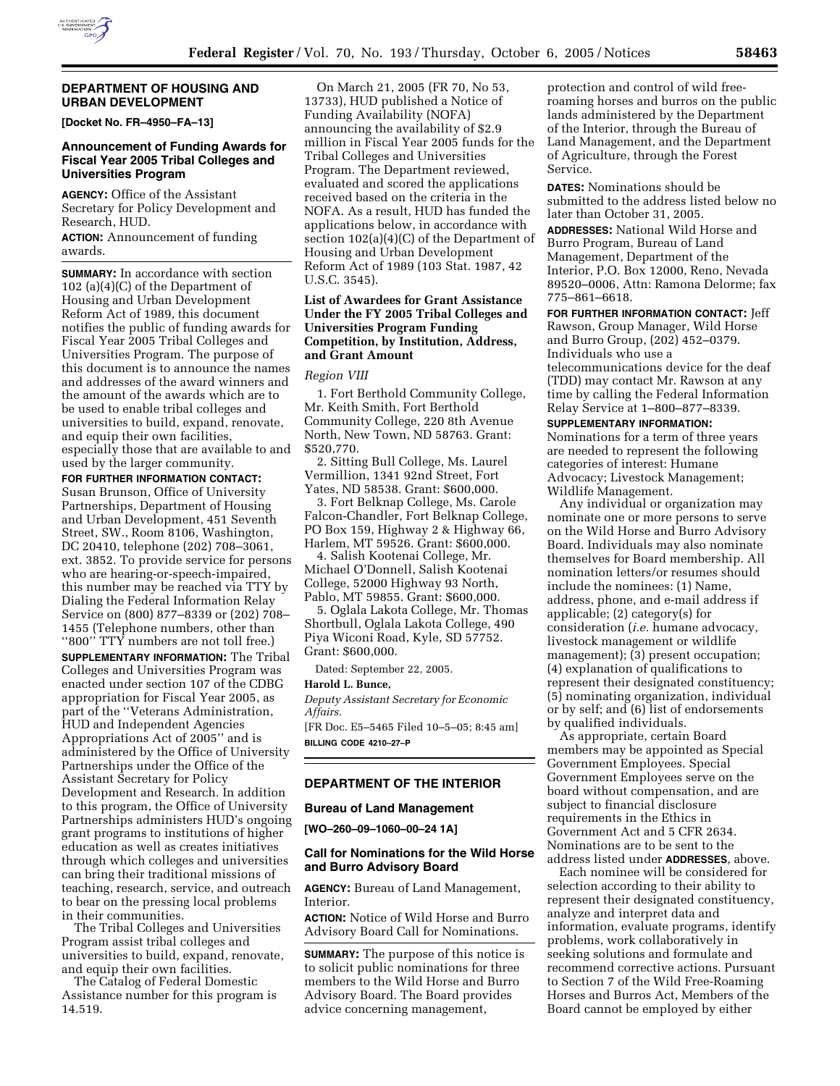

#### **DEPARTMENT OF HOUSING AND URBAN DEVELOPMENT**

**[Docket No. FR–4950–FA–13]** 

## **Announcement of Funding Awards for Fiscal Year 2005 Tribal Colleges and Universities Program**

**AGENCY:** Office of the Assistant Secretary for Policy Development and Research, HUD.

**ACTION:** Announcement of funding awards.

**SUMMARY:** In accordance with section 102 (a)(4)(C) of the Department of Housing and Urban Development Reform Act of 1989, this document notifies the public of funding awards for Fiscal Year 2005 Tribal Colleges and Universities Program. The purpose of this document is to announce the names and addresses of the award winners and the amount of the awards which are to be used to enable tribal colleges and universities to build, expand, renovate, and equip their own facilities, especially those that are available to and used by the larger community.

**FOR FURTHER INFORMATION CONTACT:**  Susan Brunson, Office of University Partnerships, Department of Housing and Urban Development, 451 Seventh Street, SW., Room 8106, Washington, DC 20410, telephone (202) 708–3061, ext. 3852. To provide service for persons who are hearing-or-speech-impaired, this number may be reached via TTY by Dialing the Federal Information Relay Service on (800) 877–8339 or (202) 708– 1455 (Telephone numbers, other than "800" TTY numbers are not toll free.) **SUPPLEMENTARY INFORMATION:** The Tribal Colleges and Universities Program was enacted under section 107 of the CDBG appropriation for Fiscal Year 2005, as part of the ''Veterans Administration, HUD and Independent Agencies Appropriations Act of 2005'' and is administered by the Office of University Partnerships under the Office of the Assistant Secretary for Policy Development and Research. In addition to this program, the Office of University Partnerships administers HUD's ongoing grant programs to institutions of higher education as well as creates initiatives through which colleges and universities can bring their traditional missions of teaching, research, service, and outreach to bear on the pressing local problems in their communities.

The Tribal Colleges and Universities Program assist tribal colleges and universities to build, expand, renovate, and equip their own facilities.

The Catalog of Federal Domestic Assistance number for this program is 14.519.

On March 21, 2005 (FR 70, No 53, 13733), HUD published a Notice of Funding Availability (NOFA) announcing the availability of \$2.9 million in Fiscal Year 2005 funds for the Tribal Colleges and Universities Program. The Department reviewed, evaluated and scored the applications received based on the criteria in the NOFA. As a result, HUD has funded the applications below, in accordance with section 102(a)(4)(C) of the Department of Housing and Urban Development Reform Act of 1989 (103 Stat. 1987, 42 U.S.C. 3545).

# **List of Awardees for Grant Assistance Under the FY 2005 Tribal Colleges and Universities Program Funding Competition, by Institution, Address, and Grant Amount**

#### *Region VIII*

1. Fort Berthold Community College, Mr. Keith Smith, Fort Berthold Community College, 220 8th Avenue North, New Town, ND 58763. Grant: \$520,770.

2. Sitting Bull College, Ms. Laurel Vermillion, 1341 92nd Street, Fort Yates, ND 58538. Grant: \$600,000.

3. Fort Belknap College, Ms. Carole Falcon-Chandler, Fort Belknap College, PO Box 159, Highway 2 & Highway 66, Harlem, MT 59526. Grant: \$600,000.

4. Salish Kootenai College, Mr. Michael O'Donnell, Salish Kootenai College, 52000 Highway 93 North, Pablo, MT 59855. Grant: \$600,000.

5. Oglala Lakota College, Mr. Thomas Shortbull, Oglala Lakota College, 490 Piya Wiconi Road, Kyle, SD 57752. Grant: \$600,000.

Dated: September 22, 2005.

#### **Harold L. Bunce,**

*Deputy Assistant Secretary for Economic Affairs.* 

[FR Doc. E5–5465 Filed 10–5–05; 8:45 am] **BILLING CODE 4210–27–P** 

## **DEPARTMENT OF THE INTERIOR**

#### **Bureau of Land Management**

**[WO–260–09–1060–00–24 1A]** 

### **Call for Nominations for the Wild Horse and Burro Advisory Board**

**AGENCY:** Bureau of Land Management, Interior.

**ACTION:** Notice of Wild Horse and Burro Advisory Board Call for Nominations.

**SUMMARY:** The purpose of this notice is to solicit public nominations for three members to the Wild Horse and Burro Advisory Board. The Board provides advice concerning management,

protection and control of wild freeroaming horses and burros on the public lands administered by the Department of the Interior, through the Bureau of Land Management, and the Department of Agriculture, through the Forest Service.

**DATES:** Nominations should be submitted to the address listed below no later than October 31, 2005.

**ADDRESSES:** National Wild Horse and Burro Program, Bureau of Land Management, Department of the Interior, P.O. Box 12000, Reno, Nevada 89520–0006, Attn: Ramona Delorme; fax 775–861–6618.

**FOR FURTHER INFORMATION CONTACT:** Jeff

Rawson, Group Manager, Wild Horse and Burro Group, (202) 452–0379. Individuals who use a telecommunications device for the deaf (TDD) may contact Mr. Rawson at any time by calling the Federal Information Relay Service at 1–800–877–8339.

#### **SUPPLEMENTARY INFORMATION:**

Nominations for a term of three years are needed to represent the following categories of interest: Humane Advocacy; Livestock Management; Wildlife Management.

Any individual or organization may nominate one or more persons to serve on the Wild Horse and Burro Advisory Board. Individuals may also nominate themselves for Board membership. All nomination letters/or resumes should include the nominees: (1) Name, address, phone, and e-mail address if applicable; (2) category(s) for consideration (*i.e.* humane advocacy, livestock management or wildlife management); (3) present occupation; (4) explanation of qualifications to represent their designated constituency; (5) nominating organization, individual or by self; and (6) list of endorsements by qualified individuals.

As appropriate, certain Board members may be appointed as Special Government Employees. Special Government Employees serve on the board without compensation, and are subject to financial disclosure requirements in the Ethics in Government Act and 5 CFR 2634. Nominations are to be sent to the address listed under **ADDRESSES**, above.

Each nominee will be considered for selection according to their ability to represent their designated constituency, analyze and interpret data and information, evaluate programs, identify problems, work collaboratively in seeking solutions and formulate and recommend corrective actions. Pursuant to Section 7 of the Wild Free-Roaming Horses and Burros Act, Members of the Board cannot be employed by either